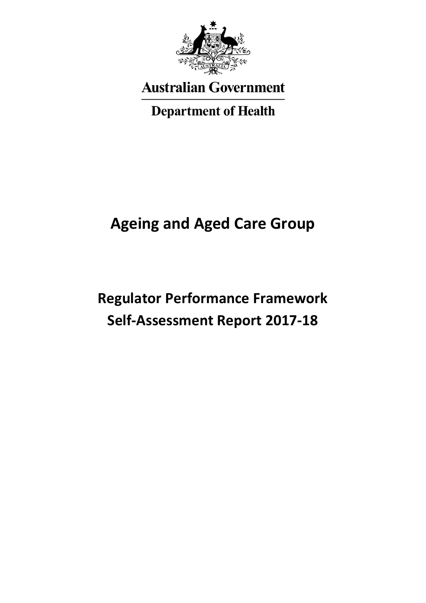

**Australian Government** 

**Department of Health** 

# **Ageing and Aged Care Group**

# **Regulator Performance Framework Self-Assessment Report 2017-18**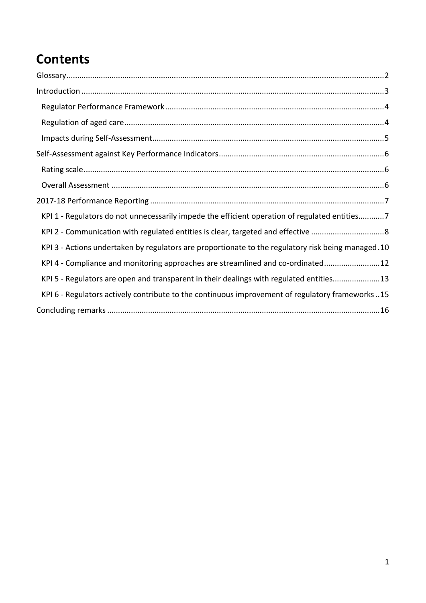## **Contents**

| KPI 1 - Regulators do not unnecessarily impede the efficient operation of regulated entities7      |
|----------------------------------------------------------------------------------------------------|
|                                                                                                    |
| KPI 3 - Actions undertaken by regulators are proportionate to the regulatory risk being managed.10 |
| KPI 4 - Compliance and monitoring approaches are streamlined and co-ordinated12                    |
| KPI 5 - Regulators are open and transparent in their dealings with regulated entities13            |
| KPI 6 - Regulators actively contribute to the continuous improvement of regulatory frameworks15    |
|                                                                                                    |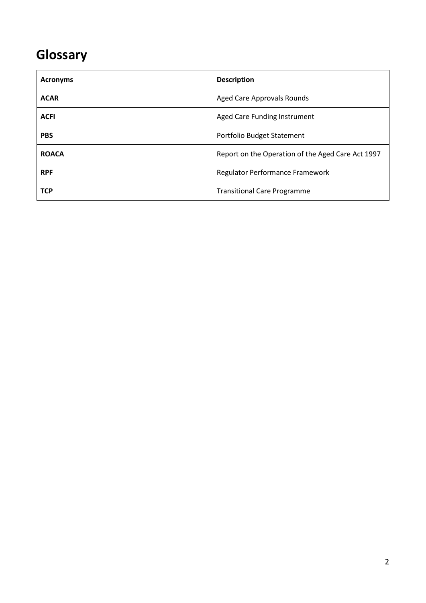## <span id="page-2-0"></span>**Glossary**

| <b>Acronyms</b> | <b>Description</b>                                |
|-----------------|---------------------------------------------------|
| <b>ACAR</b>     | <b>Aged Care Approvals Rounds</b>                 |
| <b>ACFI</b>     | Aged Care Funding Instrument                      |
| <b>PBS</b>      | Portfolio Budget Statement                        |
| <b>ROACA</b>    | Report on the Operation of the Aged Care Act 1997 |
| <b>RPF</b>      | Regulator Performance Framework                   |
| <b>TCP</b>      | <b>Transitional Care Programme</b>                |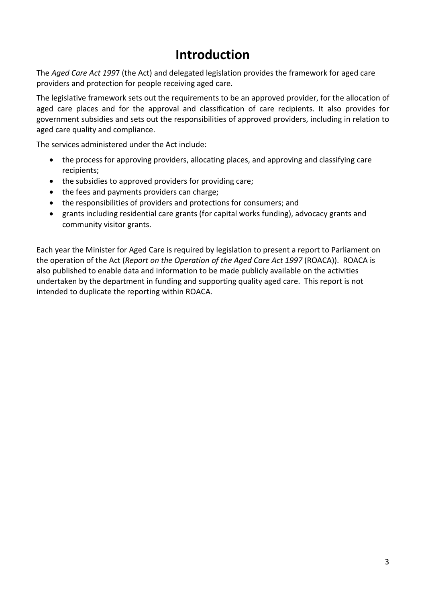### **Introduction**

<span id="page-3-0"></span>The *Aged Care Act 199*7 (the Act) and delegated legislation provides the framework for aged care providers and protection for people receiving aged care.

The legislative framework sets out the requirements to be an approved provider, for the allocation of aged care places and for the approval and classification of care recipients. It also provides for government subsidies and sets out the responsibilities of approved providers, including in relation to aged care quality and compliance.

The services administered under the Act include:

- the process for approving providers, allocating places, and approving and classifying care recipients;
- the subsidies to approved providers for providing care;
- the fees and payments providers can charge;
- the responsibilities of providers and protections for consumers; and
- grants including residential care grants (for capital works funding), advocacy grants and community visitor grants.

Each year the Minister for Aged Care is required by legislation to present a report to Parliament on the operation of the Act (*Report on the Operation of the Aged Care Act 1997* (ROACA)). ROACA is also published to enable data and information to be made publicly available on the activities undertaken by the department in funding and supporting quality aged care. This report is not intended to duplicate the reporting within ROACA.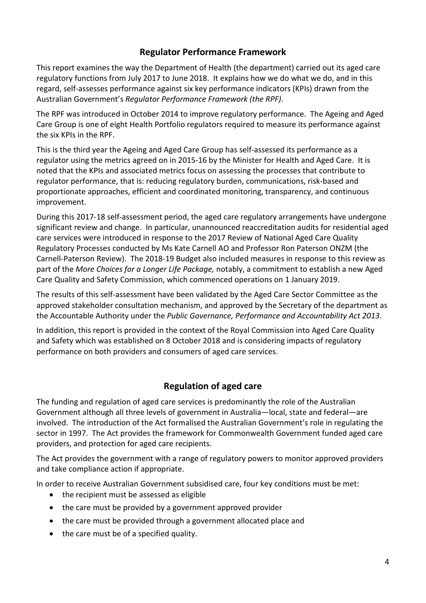#### **Regulator Performance Framework**

<span id="page-4-0"></span>This report examines the way the Department of Health (the department) carried out its aged care regulatory functions from July 2017 to June 2018. It explains how we do what we do, and in this regard, self-assesses performance against six key performance indicators (KPIs) drawn from the Australian Government's *Regulator Performance Framework (the RPF)*.

The RPF was introduced in October 2014 to improve regulatory performance. The Ageing and Aged Care Group is one of eight Health Portfolio regulators required to measure its performance against the six KPIs in the RPF.

This is the third year the Ageing and Aged Care Group has self-assessed its performance as a regulator using the metrics agreed on in 2015-16 by the Minister for Health and Aged Care. It is noted that the KPIs and associated metrics focus on assessing the processes that contribute to regulator performance, that is: reducing regulatory burden, communications, risk-based and proportionate approaches, efficient and coordinated monitoring, transparency, and continuous improvement.

During this 2017-18 self-assessment period, the aged care regulatory arrangements have undergone significant review and change. In particular, unannounced reaccreditation audits for residential aged care services were introduced in response to the 2017 Review of National Aged Care Quality Regulatory Processes conducted by Ms Kate Carnell AO and Professor Ron Paterson ONZM (the Carnell-Paterson Review). The 2018-19 Budget also included measures in response to this review as part of the *More Choices for a Longer Life Package,* notably, a commitment to establish a new Aged Care Quality and Safety Commission, which commenced operations on 1 January 2019.

The results of this self-assessment have been validated by the Aged Care Sector Committee as the approved stakeholder consultation mechanism, and approved by the Secretary of the department as the Accountable Authority under the *Public Governance, Performance and Accountability Act 2013*.

In addition, this report is provided in the context of the Royal Commission into Aged Care Quality and Safety which was established on 8 October 2018 and is considering impacts of regulatory performance on both providers and consumers of aged care services.

#### **Regulation of aged care**

<span id="page-4-1"></span>The funding and regulation of aged care services is predominantly the role of the Australian Government although all three levels of government in Australia—local, state and federal—are involved. The introduction of the Act formalised the Australian Government's role in regulating the sector in 1997. The Act provides the framework for Commonwealth Government funded aged care providers, and protection for aged care recipients.

The Act provides the government with a range of regulatory powers to monitor approved providers and take compliance action if appropriate.

In order to receive Australian Government subsidised care, four key conditions must be met:

- the recipient must be assessed as eligible
- the care must be provided by a government approved provider
- the care must be provided through a government allocated place and
- the care must be of a specified quality.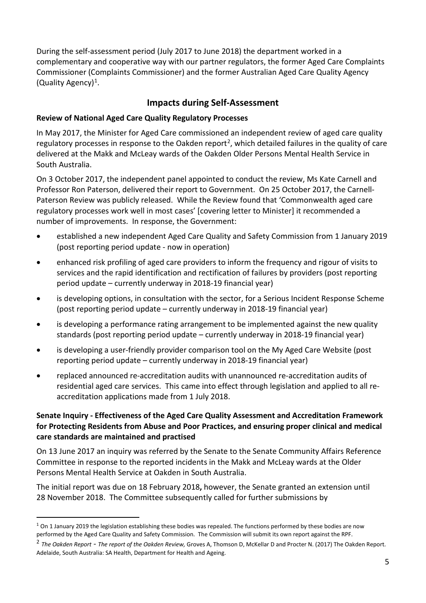During the self-assessment period (July 2017 to June 2018) the department worked in a complementary and cooperative way with our partner regulators, the former Aged Care Complaints Commissioner (Complaints Commissioner) and the former Australian Aged Care Quality Agency (Quality Agency)<sup>[1](#page-5-1)</sup>.

#### **Impacts during Self-Assessment**

#### <span id="page-5-0"></span>**Review of National Aged Care Quality Regulatory Processes**

In May 2017, the Minister for Aged Care commissioned an independent review of aged care quality regulatory processes in response to the Oakden report<sup>2</sup>, which detailed failures in the quality of care delivered at the Makk and McLeay wards of the Oakden Older Persons Mental Health Service in South Australia.

On 3 October 2017, the independent panel appointed to conduct the review, Ms Kate Carnell and Professor Ron Paterson, delivered their report to Government. On 25 October 2017, the Carnell-Paterson Review was publicly released. While the Review found that 'Commonwealth aged care regulatory processes work well in most cases' [covering letter to Minister] it recommended a number of improvements. In response, the Government:

- established a new independent Aged Care Quality and Safety Commission from 1 January 2019 (post reporting period update - now in operation)
- enhanced risk profiling of aged care providers to inform the frequency and rigour of visits to services and the rapid identification and rectification of failures by providers (post reporting period update – currently underway in 2018-19 financial year)
- is developing options, in consultation with the sector, for a Serious Incident Response Scheme (post reporting period update – currently underway in 2018-19 financial year)
- is developing a performance rating arrangement to be implemented against the new quality standards (post reporting period update – currently underway in 2018-19 financial year)
- is developing a user-friendly provider comparison tool on the My Aged Care Website (post reporting period update – currently underway in 2018-19 financial year)
- replaced announced re-accreditation audits with unannounced re-accreditation audits of residential aged care services. This came into effect through legislation and applied to all reaccreditation applications made from 1 July 2018.

#### **Senate Inquiry - Effectiveness of the Aged Care Quality Assessment and Accreditation Framework for Protecting Residents from Abuse and Poor Practices, and ensuring proper clinical and medical care standards are maintained and practised**

On 13 June 2017 an inquiry was referred by the Senate to the Senate Community Affairs Reference Committee in response to the reported incidents in the Makk and McLeay wards at the Older Persons Mental Health Service at Oakden in South Australia.

The initial report was due on 18 February 2018**,** however, the Senate granted an extension until 28 November 2018. The Committee subsequently called for further submissions by

<span id="page-5-1"></span> $1$  On 1 January 2019 the legislation establishing these bodies was repealed. The functions performed by these bodies are now performed by the Aged Care Quality and Safety Commission. The Commission will submit its own report against the RPF.

<span id="page-5-2"></span><sup>2</sup> *The Oakden Report - The report of the Oakden Review,* Groves A, Thomson D, McKellar D and Procter N. (2017) The Oakden Report. Adelaide, South Australia: SA Health, Department for Health and Ageing.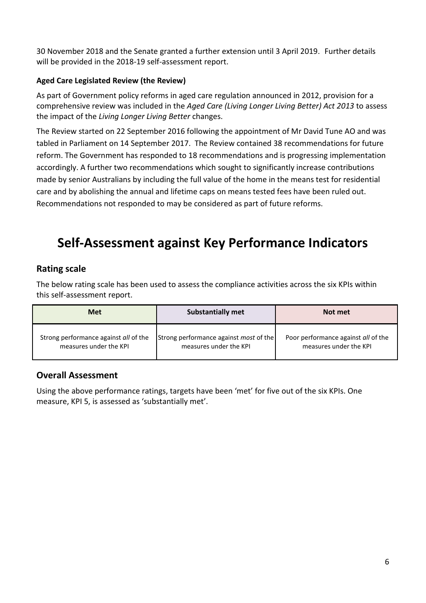30 November 2018 and the Senate granted a further extension until 3 April 2019. Further details will be provided in the 2018-19 self-assessment report.

#### **Aged Care Legislated Review (the Review)**

As part of Government policy reforms in aged care regulation announced in 2012, provision for a comprehensive review was included in the *Aged Care (Living Longer Living Better) Act 2013* to assess the impact of the *Living Longer Living Better* changes.

The Review started on 22 September 2016 following the appointment of Mr David Tune AO and was tabled in Parliament on 14 September 2017. The Review contained 38 recommendations for future reform. The Government has responded to 18 recommendations and is progressing implementation accordingly. A further two recommendations which sought to significantly increase contributions made by senior Australians by including the full value of the home in the means test for residential care and by abolishing the annual and lifetime caps on means tested fees have been ruled out. Recommendations not responded to may be considered as part of future reforms.

### <span id="page-6-0"></span>**Self-Assessment against Key Performance Indicators**

#### <span id="page-6-1"></span>**Rating scale**

The below rating scale has been used to assess the compliance activities across the six KPIs within this self-assessment report.

| <b>Met</b>                            | <b>Substantially met</b>                      | Not met                             |
|---------------------------------------|-----------------------------------------------|-------------------------------------|
| Strong performance against all of the | Strong performance against <i>most</i> of the | Poor performance against all of the |
| measures under the KPI                | measures under the KPI                        | measures under the KPI              |

#### <span id="page-6-2"></span>**Overall Assessment**

Using the above performance ratings, targets have been 'met' for five out of the six KPIs. One measure, KPI 5, is assessed as 'substantially met'.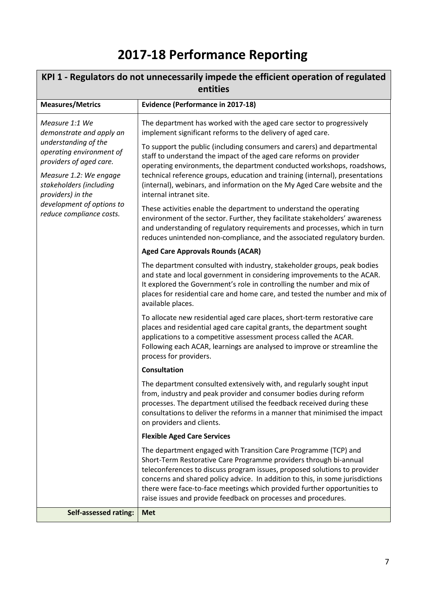## **2017-18 Performance Reporting**

<span id="page-7-1"></span><span id="page-7-0"></span>

| KPI 1 - Regulators do not unnecessarily impede the efficient operation of regulated<br>entities |                                                                                                                                                                                                                                                                                                                                                                                                                                                  |  |
|-------------------------------------------------------------------------------------------------|--------------------------------------------------------------------------------------------------------------------------------------------------------------------------------------------------------------------------------------------------------------------------------------------------------------------------------------------------------------------------------------------------------------------------------------------------|--|
| <b>Measures/Metrics</b>                                                                         | <b>Evidence (Performance in 2017-18)</b>                                                                                                                                                                                                                                                                                                                                                                                                         |  |
| Measure 1:1 We<br>demonstrate and apply an                                                      | The department has worked with the aged care sector to progressively<br>implement significant reforms to the delivery of aged care.                                                                                                                                                                                                                                                                                                              |  |
| understanding of the<br>operating environment of<br>providers of aged care.                     | To support the public (including consumers and carers) and departmental<br>staff to understand the impact of the aged care reforms on provider<br>operating environments, the department conducted workshops, roadshows,                                                                                                                                                                                                                         |  |
| Measure 1.2: We engage<br>stakeholders (including<br>providers) in the                          | technical reference groups, education and training (internal), presentations<br>(internal), webinars, and information on the My Aged Care website and the<br>internal intranet site.                                                                                                                                                                                                                                                             |  |
| development of options to<br>reduce compliance costs.                                           | These activities enable the department to understand the operating<br>environment of the sector. Further, they facilitate stakeholders' awareness<br>and understanding of regulatory requirements and processes, which in turn<br>reduces unintended non-compliance, and the associated regulatory burden.                                                                                                                                       |  |
|                                                                                                 | <b>Aged Care Approvals Rounds (ACAR)</b>                                                                                                                                                                                                                                                                                                                                                                                                         |  |
|                                                                                                 | The department consulted with industry, stakeholder groups, peak bodies<br>and state and local government in considering improvements to the ACAR.<br>It explored the Government's role in controlling the number and mix of<br>places for residential care and home care, and tested the number and mix of<br>available places.                                                                                                                 |  |
|                                                                                                 | To allocate new residential aged care places, short-term restorative care<br>places and residential aged care capital grants, the department sought<br>applications to a competitive assessment process called the ACAR.<br>Following each ACAR, learnings are analysed to improve or streamline the<br>process for providers.                                                                                                                   |  |
|                                                                                                 | <b>Consultation</b>                                                                                                                                                                                                                                                                                                                                                                                                                              |  |
|                                                                                                 | The department consulted extensively with, and regularly sought input<br>from, industry and peak provider and consumer bodies during reform<br>processes. The department utilised the feedback received during these<br>consultations to deliver the reforms in a manner that minimised the impact<br>on providers and clients.                                                                                                                  |  |
|                                                                                                 | <b>Flexible Aged Care Services</b>                                                                                                                                                                                                                                                                                                                                                                                                               |  |
|                                                                                                 | The department engaged with Transition Care Programme (TCP) and<br>Short-Term Restorative Care Programme providers through bi-annual<br>teleconferences to discuss program issues, proposed solutions to provider<br>concerns and shared policy advice. In addition to this, in some jurisdictions<br>there were face-to-face meetings which provided further opportunities to<br>raise issues and provide feedback on processes and procedures. |  |
| <b>Self-assessed rating:</b>                                                                    | <b>Met</b>                                                                                                                                                                                                                                                                                                                                                                                                                                       |  |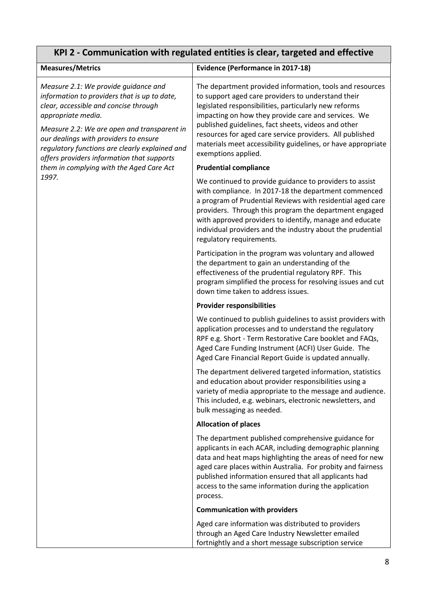### <span id="page-8-0"></span>**KPI 2 - Communication with regulated entities is clear, targeted and effective**

| <b>Measures/Metrics</b>                                                                                                                                                                                                                                                                                                                     | <b>Evidence (Performance in 2017-18)</b>                                                                                                                                                                                                                                                                                                                                                                                                 |
|---------------------------------------------------------------------------------------------------------------------------------------------------------------------------------------------------------------------------------------------------------------------------------------------------------------------------------------------|------------------------------------------------------------------------------------------------------------------------------------------------------------------------------------------------------------------------------------------------------------------------------------------------------------------------------------------------------------------------------------------------------------------------------------------|
| Measure 2.1: We provide guidance and<br>information to providers that is up to date,<br>clear, accessible and concise through<br>appropriate media.<br>Measure 2.2: We are open and transparent in<br>our dealings with providers to ensure<br>regulatory functions are clearly explained and<br>offers providers information that supports | The department provided information, tools and resources<br>to support aged care providers to understand their<br>legislated responsibilities, particularly new reforms<br>impacting on how they provide care and services. We<br>published guidelines, fact sheets, videos and other<br>resources for aged care service providers. All published<br>materials meet accessibility guidelines, or have appropriate<br>exemptions applied. |
| them in complying with the Aged Care Act                                                                                                                                                                                                                                                                                                    | <b>Prudential compliance</b>                                                                                                                                                                                                                                                                                                                                                                                                             |
| 1997.                                                                                                                                                                                                                                                                                                                                       | We continued to provide guidance to providers to assist<br>with compliance. In 2017-18 the department commenced<br>a program of Prudential Reviews with residential aged care<br>providers. Through this program the department engaged<br>with approved providers to identify, manage and educate<br>individual providers and the industry about the prudential<br>regulatory requirements.                                             |
|                                                                                                                                                                                                                                                                                                                                             | Participation in the program was voluntary and allowed<br>the department to gain an understanding of the<br>effectiveness of the prudential regulatory RPF. This<br>program simplified the process for resolving issues and cut<br>down time taken to address issues.                                                                                                                                                                    |
|                                                                                                                                                                                                                                                                                                                                             | <b>Provider responsibilities</b>                                                                                                                                                                                                                                                                                                                                                                                                         |
|                                                                                                                                                                                                                                                                                                                                             | We continued to publish guidelines to assist providers with<br>application processes and to understand the regulatory<br>RPF e.g. Short - Term Restorative Care booklet and FAQs,<br>Aged Care Funding Instrument (ACFI) User Guide. The<br>Aged Care Financial Report Guide is updated annually.                                                                                                                                        |
|                                                                                                                                                                                                                                                                                                                                             | The department delivered targeted information, statistics<br>and education about provider responsibilities using a<br>variety of media appropriate to the message and audience.<br>This included, e.g. webinars, electronic newsletters, and<br>bulk messaging as needed.                                                                                                                                                                |
|                                                                                                                                                                                                                                                                                                                                             | <b>Allocation of places</b>                                                                                                                                                                                                                                                                                                                                                                                                              |
|                                                                                                                                                                                                                                                                                                                                             | The department published comprehensive guidance for<br>applicants in each ACAR, including demographic planning<br>data and heat maps highlighting the areas of need for new<br>aged care places within Australia. For probity and fairness<br>published information ensured that all applicants had<br>access to the same information during the application<br>process.                                                                 |
|                                                                                                                                                                                                                                                                                                                                             | <b>Communication with providers</b>                                                                                                                                                                                                                                                                                                                                                                                                      |
|                                                                                                                                                                                                                                                                                                                                             | Aged care information was distributed to providers<br>through an Aged Care Industry Newsletter emailed<br>fortnightly and a short message subscription service                                                                                                                                                                                                                                                                           |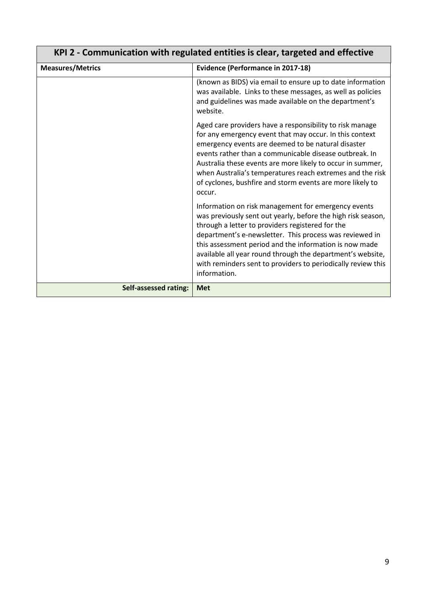| KPI 2 - Communication with regulated entities is clear, targeted and effective |                                                                                                                                                                                                                                                                                                                                                                                                                                            |
|--------------------------------------------------------------------------------|--------------------------------------------------------------------------------------------------------------------------------------------------------------------------------------------------------------------------------------------------------------------------------------------------------------------------------------------------------------------------------------------------------------------------------------------|
| <b>Measures/Metrics</b>                                                        | <b>Evidence (Performance in 2017-18)</b>                                                                                                                                                                                                                                                                                                                                                                                                   |
|                                                                                | (known as BIDS) via email to ensure up to date information<br>was available. Links to these messages, as well as policies<br>and guidelines was made available on the department's<br>website.                                                                                                                                                                                                                                             |
|                                                                                | Aged care providers have a responsibility to risk manage<br>for any emergency event that may occur. In this context<br>emergency events are deemed to be natural disaster<br>events rather than a communicable disease outbreak. In<br>Australia these events are more likely to occur in summer,<br>when Australia's temperatures reach extremes and the risk<br>of cyclones, bushfire and storm events are more likely to<br>occur.      |
|                                                                                | Information on risk management for emergency events<br>was previously sent out yearly, before the high risk season,<br>through a letter to providers registered for the<br>department's e-newsletter. This process was reviewed in<br>this assessment period and the information is now made<br>available all year round through the department's website,<br>with reminders sent to providers to periodically review this<br>information. |
| <b>Self-assessed rating:</b>                                                   | <b>Met</b>                                                                                                                                                                                                                                                                                                                                                                                                                                 |

### **KPI 2 - Communication with regulated entities is clear, targeted and effective**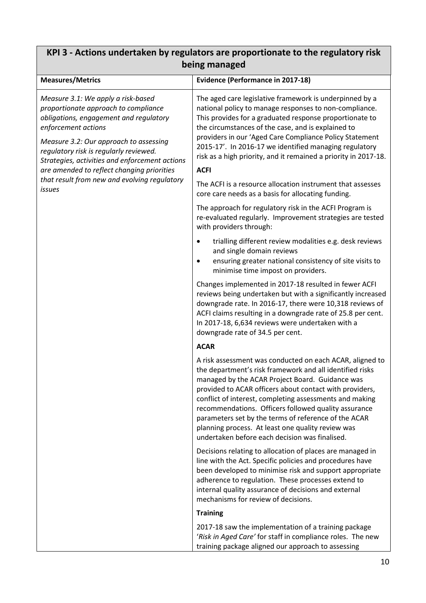### <span id="page-10-0"></span>**KPI 3 - Actions undertaken by regulators are proportionate to the regulatory risk being managed**

| <b>Measures/Metrics</b>                                                                                                                                                                                                                                                                                                                                                                   | <b>Evidence (Performance in 2017-18)</b>                                                                                                                                                                                                                                                                                                                                                                                                                                                                             |
|-------------------------------------------------------------------------------------------------------------------------------------------------------------------------------------------------------------------------------------------------------------------------------------------------------------------------------------------------------------------------------------------|----------------------------------------------------------------------------------------------------------------------------------------------------------------------------------------------------------------------------------------------------------------------------------------------------------------------------------------------------------------------------------------------------------------------------------------------------------------------------------------------------------------------|
| Measure 3.1: We apply a risk-based<br>proportionate approach to compliance<br>obligations, engagement and regulatory<br>enforcement actions<br>Measure 3.2: Our approach to assessing<br>regulatory risk is regularly reviewed.<br>Strategies, activities and enforcement actions<br>are amended to reflect changing priorities<br>that result from new and evolving regulatory<br>issues | The aged care legislative framework is underpinned by a<br>national policy to manage responses to non-compliance.<br>This provides for a graduated response proportionate to<br>the circumstances of the case, and is explained to<br>providers in our 'Aged Care Compliance Policy Statement<br>2015-17'. In 2016-17 we identified managing regulatory<br>risk as a high priority, and it remained a priority in 2017-18.<br><b>ACFI</b><br>The ACFI is a resource allocation instrument that assesses              |
|                                                                                                                                                                                                                                                                                                                                                                                           | core care needs as a basis for allocating funding.<br>The approach for regulatory risk in the ACFI Program is<br>re-evaluated regularly. Improvement strategies are tested<br>with providers through:                                                                                                                                                                                                                                                                                                                |
|                                                                                                                                                                                                                                                                                                                                                                                           | trialling different review modalities e.g. desk reviews<br>٠<br>and single domain reviews<br>ensuring greater national consistency of site visits to<br>٠<br>minimise time impost on providers.                                                                                                                                                                                                                                                                                                                      |
|                                                                                                                                                                                                                                                                                                                                                                                           | Changes implemented in 2017-18 resulted in fewer ACFI<br>reviews being undertaken but with a significantly increased<br>downgrade rate. In 2016-17, there were 10,318 reviews of<br>ACFI claims resulting in a downgrade rate of 25.8 per cent.<br>In 2017-18, 6,634 reviews were undertaken with a<br>downgrade rate of 34.5 per cent.                                                                                                                                                                              |
|                                                                                                                                                                                                                                                                                                                                                                                           | <b>ACAR</b>                                                                                                                                                                                                                                                                                                                                                                                                                                                                                                          |
|                                                                                                                                                                                                                                                                                                                                                                                           | A risk assessment was conducted on each ACAR, aligned to<br>the department's risk framework and all identified risks<br>managed by the ACAR Project Board. Guidance was<br>provided to ACAR officers about contact with providers,<br>conflict of interest, completing assessments and making<br>recommendations. Officers followed quality assurance<br>parameters set by the terms of reference of the ACAR<br>planning process. At least one quality review was<br>undertaken before each decision was finalised. |
|                                                                                                                                                                                                                                                                                                                                                                                           | Decisions relating to allocation of places are managed in<br>line with the Act. Specific policies and procedures have<br>been developed to minimise risk and support appropriate<br>adherence to regulation. These processes extend to<br>internal quality assurance of decisions and external<br>mechanisms for review of decisions.                                                                                                                                                                                |
|                                                                                                                                                                                                                                                                                                                                                                                           | <b>Training</b>                                                                                                                                                                                                                                                                                                                                                                                                                                                                                                      |
|                                                                                                                                                                                                                                                                                                                                                                                           | 2017-18 saw the implementation of a training package<br>'Risk in Aged Care' for staff in compliance roles. The new<br>training package aligned our approach to assessing                                                                                                                                                                                                                                                                                                                                             |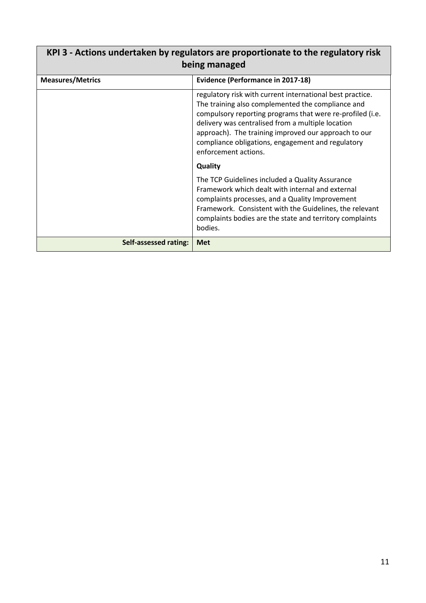| KPI 3 - Actions undertaken by regulators are proportionate to the regulatory risk<br>being managed |                                                                                                                                                                                                                                                                                                                                                                       |
|----------------------------------------------------------------------------------------------------|-----------------------------------------------------------------------------------------------------------------------------------------------------------------------------------------------------------------------------------------------------------------------------------------------------------------------------------------------------------------------|
| <b>Measures/Metrics</b>                                                                            | <b>Evidence (Performance in 2017-18)</b>                                                                                                                                                                                                                                                                                                                              |
|                                                                                                    | regulatory risk with current international best practice.<br>The training also complemented the compliance and<br>compulsory reporting programs that were re-profiled (i.e.<br>delivery was centralised from a multiple location<br>approach). The training improved our approach to our<br>compliance obligations, engagement and regulatory<br>enforcement actions. |
|                                                                                                    | <b>Quality</b>                                                                                                                                                                                                                                                                                                                                                        |
|                                                                                                    | The TCP Guidelines included a Quality Assurance<br>Framework which dealt with internal and external<br>complaints processes, and a Quality Improvement<br>Framework. Consistent with the Guidelines, the relevant<br>complaints bodies are the state and territory complaints<br>bodies.                                                                              |
| Self-assessed rating:                                                                              | <b>Met</b>                                                                                                                                                                                                                                                                                                                                                            |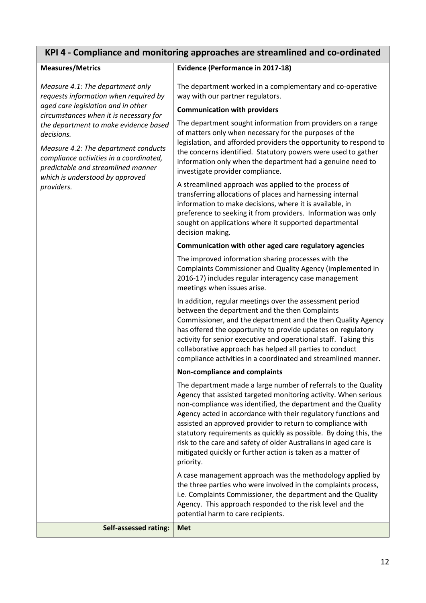<span id="page-12-0"></span>

| KPI 4 - Compliance and monitoring approaches are streamlined and co-ordinated                                                                                                                                                 |                                                                                                                                                                                                                                                                                                                                                                                                                                                                                                                                                         |  |
|-------------------------------------------------------------------------------------------------------------------------------------------------------------------------------------------------------------------------------|---------------------------------------------------------------------------------------------------------------------------------------------------------------------------------------------------------------------------------------------------------------------------------------------------------------------------------------------------------------------------------------------------------------------------------------------------------------------------------------------------------------------------------------------------------|--|
| <b>Measures/Metrics</b>                                                                                                                                                                                                       | <b>Evidence (Performance in 2017-18)</b>                                                                                                                                                                                                                                                                                                                                                                                                                                                                                                                |  |
| Measure 4.1: The department only<br>requests information when required by                                                                                                                                                     | The department worked in a complementary and co-operative<br>way with our partner regulators.                                                                                                                                                                                                                                                                                                                                                                                                                                                           |  |
| aged care legislation and in other<br>circumstances when it is necessary for                                                                                                                                                  | <b>Communication with providers</b>                                                                                                                                                                                                                                                                                                                                                                                                                                                                                                                     |  |
| the department to make evidence based<br>decisions.<br>Measure 4.2: The department conducts<br>compliance activities in a coordinated,<br>predictable and streamlined manner<br>which is understood by approved<br>providers. | The department sought information from providers on a range<br>of matters only when necessary for the purposes of the<br>legislation, and afforded providers the opportunity to respond to<br>the concerns identified. Statutory powers were used to gather<br>information only when the department had a genuine need to<br>investigate provider compliance.                                                                                                                                                                                           |  |
|                                                                                                                                                                                                                               | A streamlined approach was applied to the process of<br>transferring allocations of places and harnessing internal<br>information to make decisions, where it is available, in<br>preference to seeking it from providers. Information was only<br>sought on applications where it supported departmental<br>decision making.                                                                                                                                                                                                                           |  |
|                                                                                                                                                                                                                               | Communication with other aged care regulatory agencies                                                                                                                                                                                                                                                                                                                                                                                                                                                                                                  |  |
|                                                                                                                                                                                                                               | The improved information sharing processes with the<br>Complaints Commissioner and Quality Agency (implemented in<br>2016-17) includes regular interagency case management<br>meetings when issues arise.                                                                                                                                                                                                                                                                                                                                               |  |
|                                                                                                                                                                                                                               | In addition, regular meetings over the assessment period<br>between the department and the then Complaints<br>Commissioner, and the department and the then Quality Agency<br>has offered the opportunity to provide updates on regulatory<br>activity for senior executive and operational staff. Taking this<br>collaborative approach has helped all parties to conduct<br>compliance activities in a coordinated and streamlined manner.                                                                                                            |  |
|                                                                                                                                                                                                                               | Non-compliance and complaints                                                                                                                                                                                                                                                                                                                                                                                                                                                                                                                           |  |
|                                                                                                                                                                                                                               | The department made a large number of referrals to the Quality<br>Agency that assisted targeted monitoring activity. When serious<br>non-compliance was identified, the department and the Quality<br>Agency acted in accordance with their regulatory functions and<br>assisted an approved provider to return to compliance with<br>statutory requirements as quickly as possible. By doing this, the<br>risk to the care and safety of older Australians in aged care is<br>mitigated quickly or further action is taken as a matter of<br>priority. |  |
|                                                                                                                                                                                                                               | A case management approach was the methodology applied by<br>the three parties who were involved in the complaints process,<br>i.e. Complaints Commissioner, the department and the Quality<br>Agency. This approach responded to the risk level and the<br>potential harm to care recipients.                                                                                                                                                                                                                                                          |  |
| <b>Self-assessed rating:</b>                                                                                                                                                                                                  | <b>Met</b>                                                                                                                                                                                                                                                                                                                                                                                                                                                                                                                                              |  |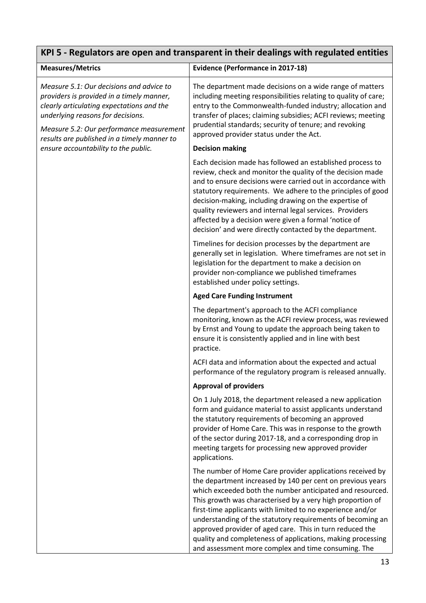<span id="page-13-0"></span>

| KPI 5 - Regulators are open and transparent in their dealings with regulated entities                                                                                                                                                                              |                                                                                                                                                                                                                                                                                                                                                                                                                                                                                                                                                                  |  |
|--------------------------------------------------------------------------------------------------------------------------------------------------------------------------------------------------------------------------------------------------------------------|------------------------------------------------------------------------------------------------------------------------------------------------------------------------------------------------------------------------------------------------------------------------------------------------------------------------------------------------------------------------------------------------------------------------------------------------------------------------------------------------------------------------------------------------------------------|--|
| <b>Measures/Metrics</b>                                                                                                                                                                                                                                            | <b>Evidence (Performance in 2017-18)</b>                                                                                                                                                                                                                                                                                                                                                                                                                                                                                                                         |  |
| Measure 5.1: Our decisions and advice to<br>providers is provided in a timely manner,<br>clearly articulating expectations and the<br>underlying reasons for decisions.<br>Measure 5.2: Our performance measurement<br>results are published in a timely manner to | The department made decisions on a wide range of matters<br>including meeting responsibilities relating to quality of care;<br>entry to the Commonwealth-funded industry; allocation and<br>transfer of places; claiming subsidies; ACFI reviews; meeting<br>prudential standards; security of tenure; and revoking<br>approved provider status under the Act.                                                                                                                                                                                                   |  |
| ensure accountability to the public.                                                                                                                                                                                                                               | <b>Decision making</b>                                                                                                                                                                                                                                                                                                                                                                                                                                                                                                                                           |  |
|                                                                                                                                                                                                                                                                    | Each decision made has followed an established process to<br>review, check and monitor the quality of the decision made<br>and to ensure decisions were carried out in accordance with<br>statutory requirements. We adhere to the principles of good<br>decision-making, including drawing on the expertise of<br>quality reviewers and internal legal services. Providers<br>affected by a decision were given a formal 'notice of<br>decision' and were directly contacted by the department.                                                                 |  |
|                                                                                                                                                                                                                                                                    | Timelines for decision processes by the department are<br>generally set in legislation. Where timeframes are not set in<br>legislation for the department to make a decision on<br>provider non-compliance we published timeframes<br>established under policy settings.                                                                                                                                                                                                                                                                                         |  |
|                                                                                                                                                                                                                                                                    | <b>Aged Care Funding Instrument</b>                                                                                                                                                                                                                                                                                                                                                                                                                                                                                                                              |  |
|                                                                                                                                                                                                                                                                    | The department's approach to the ACFI compliance<br>monitoring, known as the ACFI review process, was reviewed<br>by Ernst and Young to update the approach being taken to<br>ensure it is consistently applied and in line with best<br>practice.                                                                                                                                                                                                                                                                                                               |  |
|                                                                                                                                                                                                                                                                    | ACFI data and information about the expected and actual<br>performance of the regulatory program is released annually.                                                                                                                                                                                                                                                                                                                                                                                                                                           |  |
|                                                                                                                                                                                                                                                                    | <b>Approval of providers</b>                                                                                                                                                                                                                                                                                                                                                                                                                                                                                                                                     |  |
|                                                                                                                                                                                                                                                                    | On 1 July 2018, the department released a new application<br>form and guidance material to assist applicants understand<br>the statutory requirements of becoming an approved<br>provider of Home Care. This was in response to the growth<br>of the sector during 2017-18, and a corresponding drop in<br>meeting targets for processing new approved provider<br>applications.                                                                                                                                                                                 |  |
|                                                                                                                                                                                                                                                                    | The number of Home Care provider applications received by<br>the department increased by 140 per cent on previous years<br>which exceeded both the number anticipated and resourced.<br>This growth was characterised by a very high proportion of<br>first-time applicants with limited to no experience and/or<br>understanding of the statutory requirements of becoming an<br>approved provider of aged care. This in turn reduced the<br>quality and completeness of applications, making processing<br>and assessment more complex and time consuming. The |  |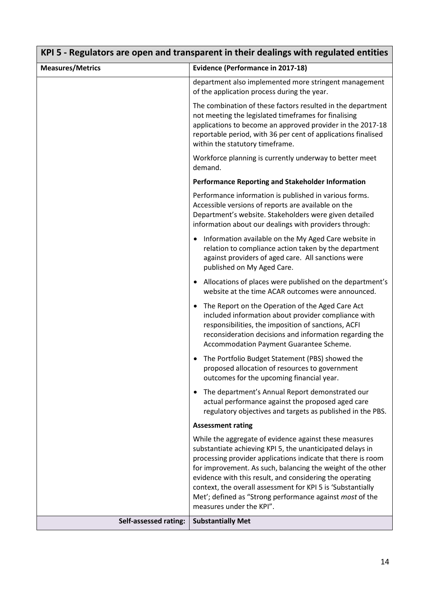| KPI 5 - Regulators are open and transparent in their dealings with regulated entities |                                                                                                                                                                                                                                                                                                                                                                                                                                                                       |  |
|---------------------------------------------------------------------------------------|-----------------------------------------------------------------------------------------------------------------------------------------------------------------------------------------------------------------------------------------------------------------------------------------------------------------------------------------------------------------------------------------------------------------------------------------------------------------------|--|
| <b>Measures/Metrics</b>                                                               | <b>Evidence (Performance in 2017-18)</b>                                                                                                                                                                                                                                                                                                                                                                                                                              |  |
|                                                                                       | department also implemented more stringent management<br>of the application process during the year.                                                                                                                                                                                                                                                                                                                                                                  |  |
|                                                                                       | The combination of these factors resulted in the department<br>not meeting the legislated timeframes for finalising<br>applications to become an approved provider in the 2017-18<br>reportable period, with 36 per cent of applications finalised<br>within the statutory timeframe.                                                                                                                                                                                 |  |
|                                                                                       | Workforce planning is currently underway to better meet<br>demand.                                                                                                                                                                                                                                                                                                                                                                                                    |  |
|                                                                                       | <b>Performance Reporting and Stakeholder Information</b>                                                                                                                                                                                                                                                                                                                                                                                                              |  |
|                                                                                       | Performance information is published in various forms.<br>Accessible versions of reports are available on the<br>Department's website. Stakeholders were given detailed<br>information about our dealings with providers through:                                                                                                                                                                                                                                     |  |
|                                                                                       | Information available on the My Aged Care website in<br>$\bullet$<br>relation to compliance action taken by the department<br>against providers of aged care. All sanctions were<br>published on My Aged Care.                                                                                                                                                                                                                                                        |  |
|                                                                                       | Allocations of places were published on the department's<br>website at the time ACAR outcomes were announced.                                                                                                                                                                                                                                                                                                                                                         |  |
|                                                                                       | The Report on the Operation of the Aged Care Act<br>included information about provider compliance with<br>responsibilities, the imposition of sanctions, ACFI<br>reconsideration decisions and information regarding the<br>Accommodation Payment Guarantee Scheme.                                                                                                                                                                                                  |  |
|                                                                                       | The Portfolio Budget Statement (PBS) showed the<br>proposed allocation of resources to government<br>outcomes for the upcoming financial year.                                                                                                                                                                                                                                                                                                                        |  |
|                                                                                       | The department's Annual Report demonstrated our<br>actual performance against the proposed aged care<br>regulatory objectives and targets as published in the PBS.                                                                                                                                                                                                                                                                                                    |  |
|                                                                                       | <b>Assessment rating</b>                                                                                                                                                                                                                                                                                                                                                                                                                                              |  |
|                                                                                       | While the aggregate of evidence against these measures<br>substantiate achieving KPI 5, the unanticipated delays in<br>processing provider applications indicate that there is room<br>for improvement. As such, balancing the weight of the other<br>evidence with this result, and considering the operating<br>context, the overall assessment for KPI 5 is 'Substantially<br>Met'; defined as "Strong performance against most of the<br>measures under the KPI". |  |
| Self-assessed rating:                                                                 | <b>Substantially Met</b>                                                                                                                                                                                                                                                                                                                                                                                                                                              |  |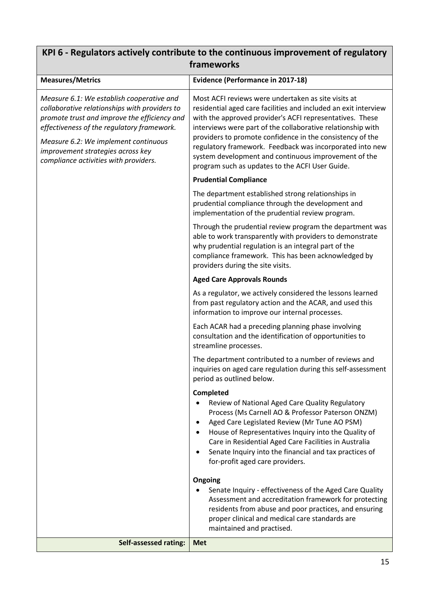### <span id="page-15-0"></span>**KPI 6 - Regulators actively contribute to the continuous improvement of regulatory frameworks**

| <b>Measures/Metrics</b>                                                                                                                                                                                                                                                                                        | <b>Evidence (Performance in 2017-18)</b>                                                                                                                                                                                                                                                                                                                                                                                                                                              |
|----------------------------------------------------------------------------------------------------------------------------------------------------------------------------------------------------------------------------------------------------------------------------------------------------------------|---------------------------------------------------------------------------------------------------------------------------------------------------------------------------------------------------------------------------------------------------------------------------------------------------------------------------------------------------------------------------------------------------------------------------------------------------------------------------------------|
| Measure 6.1: We establish cooperative and<br>collaborative relationships with providers to<br>promote trust and improve the efficiency and<br>effectiveness of the regulatory framework.<br>Measure 6.2: We implement continuous<br>improvement strategies across key<br>compliance activities with providers. | Most ACFI reviews were undertaken as site visits at<br>residential aged care facilities and included an exit interview<br>with the approved provider's ACFI representatives. These<br>interviews were part of the collaborative relationship with<br>providers to promote confidence in the consistency of the<br>regulatory framework. Feedback was incorporated into new<br>system development and continuous improvement of the<br>program such as updates to the ACFI User Guide. |
|                                                                                                                                                                                                                                                                                                                | <b>Prudential Compliance</b>                                                                                                                                                                                                                                                                                                                                                                                                                                                          |
|                                                                                                                                                                                                                                                                                                                | The department established strong relationships in<br>prudential compliance through the development and<br>implementation of the prudential review program.                                                                                                                                                                                                                                                                                                                           |
|                                                                                                                                                                                                                                                                                                                | Through the prudential review program the department was<br>able to work transparently with providers to demonstrate<br>why prudential regulation is an integral part of the<br>compliance framework. This has been acknowledged by<br>providers during the site visits.                                                                                                                                                                                                              |
|                                                                                                                                                                                                                                                                                                                | <b>Aged Care Approvals Rounds</b>                                                                                                                                                                                                                                                                                                                                                                                                                                                     |
|                                                                                                                                                                                                                                                                                                                | As a regulator, we actively considered the lessons learned<br>from past regulatory action and the ACAR, and used this<br>information to improve our internal processes.                                                                                                                                                                                                                                                                                                               |
|                                                                                                                                                                                                                                                                                                                | Each ACAR had a preceding planning phase involving<br>consultation and the identification of opportunities to<br>streamline processes.                                                                                                                                                                                                                                                                                                                                                |
|                                                                                                                                                                                                                                                                                                                | The department contributed to a number of reviews and<br>inquiries on aged care regulation during this self-assessment<br>period as outlined below.                                                                                                                                                                                                                                                                                                                                   |
|                                                                                                                                                                                                                                                                                                                | Completed                                                                                                                                                                                                                                                                                                                                                                                                                                                                             |
|                                                                                                                                                                                                                                                                                                                | Review of National Aged Care Quality Regulatory<br>Process (Ms Carnell AO & Professor Paterson ONZM)<br>Aged Care Legislated Review (Mr Tune AO PSM)<br>House of Representatives Inquiry into the Quality of<br>Care in Residential Aged Care Facilities in Australia<br>Senate Inquiry into the financial and tax practices of<br>for-profit aged care providers.                                                                                                                    |
|                                                                                                                                                                                                                                                                                                                | Ongoing<br>Senate Inquiry - effectiveness of the Aged Care Quality<br>Assessment and accreditation framework for protecting<br>residents from abuse and poor practices, and ensuring<br>proper clinical and medical care standards are<br>maintained and practised.                                                                                                                                                                                                                   |
| Self-assessed rating:                                                                                                                                                                                                                                                                                          | <b>Met</b>                                                                                                                                                                                                                                                                                                                                                                                                                                                                            |